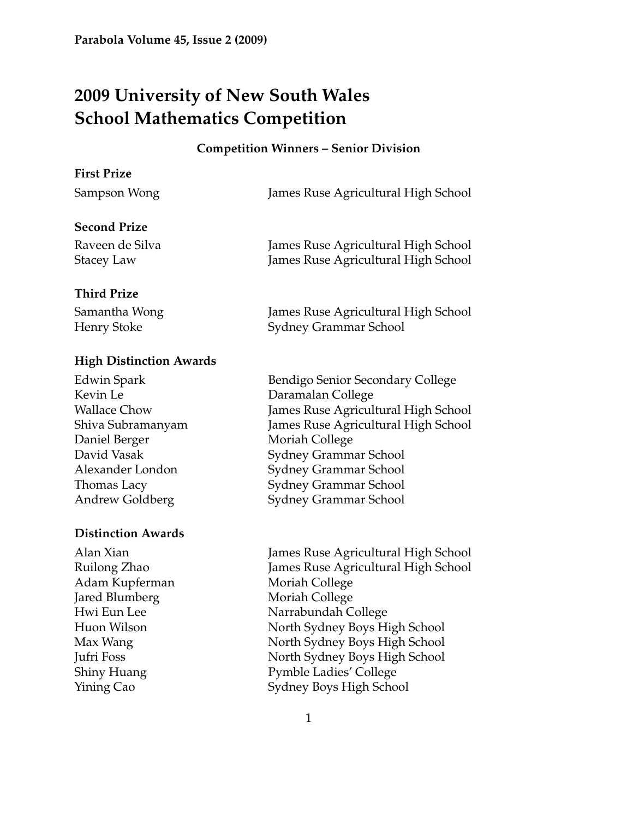# **2009 University of New South Wales School Mathematics Competition**

#### **Competition Winners – Senior Division**

# **First Prize**

| Sampson Wong | James Rus |
|--------------|-----------|

se Agricultural High School

# **Second Prize**

# Raveen de Silva James Ruse Agricultural High School Stacey Law James Ruse Agricultural High School

# **Third Prize**

Samantha Wong James Ruse Agricultural High School Henry Stoke Sydney Grammar School

# **High Distinction Awards**

Kevin Le Daramalan College Daniel Berger Moriah College

# **Distinction Awards**

Adam Kupferman Moriah College Jared Blumberg Moriah College

Edwin Spark Bendigo Senior Secondary College Wallace Chow James Ruse Agricultural High School Shiva Subramanyam James Ruse Agricultural High School David Vasak Sydney Grammar School Alexander London Sydney Grammar School Thomas Lacy Sydney Grammar School Andrew Goldberg Sydney Grammar School

Alan Xian James Ruse Agricultural High School Ruilong Zhao James Ruse Agricultural High School Hwi Eun Lee Narrabundah College Huon Wilson North Sydney Boys High School Max Wang North Sydney Boys High School Jufri Foss North Sydney Boys High School Shiny Huang Pymble Ladies' College Yining Cao Sydney Boys High School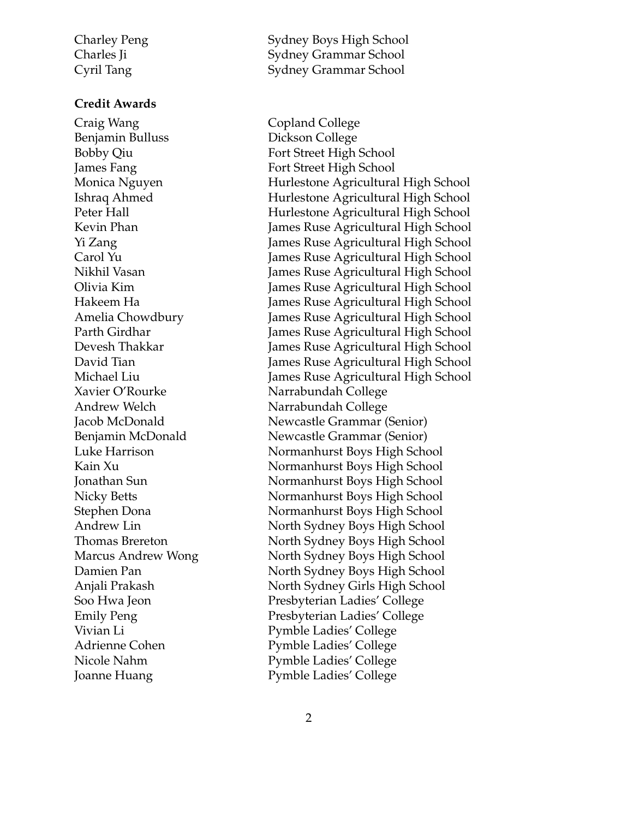#### **Credit Awards**

Craig Wang **Copland College** Benjamin Bulluss Dickson College Bobby Qiu Fort Street High School James Fang Fort Street High School Xavier O'Rourke Narrabundah College Andrew Welch Narrabundah College

Charley Peng Sydney Boys High School Charles Ji Sydney Grammar School Cyril Tang Sydney Grammar School

Monica Nguyen Hurlestone Agricultural High School Ishraq Ahmed Hurlestone Agricultural High School Peter Hall **Hurlestone Agricultural High School** Kevin Phan James Ruse Agricultural High School Yi Zang James Ruse Agricultural High School Carol Yu James Ruse Agricultural High School Nikhil Vasan James Ruse Agricultural High School Olivia Kim James Ruse Agricultural High School Hakeem Ha James Ruse Agricultural High School Amelia Chowdbury James Ruse Agricultural High School Parth Girdhar James Ruse Agricultural High School Devesh Thakkar James Ruse Agricultural High School David Tian James Ruse Agricultural High School Michael Liu James Ruse Agricultural High School Jacob McDonald Newcastle Grammar (Senior) Benjamin McDonald Newcastle Grammar (Senior) Luke Harrison Normanhurst Boys High School Kain Xu Normanhurst Boys High School Jonathan Sun Normanhurst Boys High School Nicky Betts Normanhurst Boys High School Stephen Dona Normanhurst Boys High School Andrew Lin North Sydney Boys High School Thomas Brereton North Sydney Boys High School Marcus Andrew Wong North Sydney Boys High School Damien Pan North Sydney Boys High School Anjali Prakash North Sydney Girls High School Soo Hwa Jeon Presbyterian Ladies' College Emily Peng Presbyterian Ladies' College Vivian Li Pymble Ladies' College Adrienne Cohen Pymble Ladies' College Nicole Nahm Pymble Ladies' College Joanne Huang Pymble Ladies' College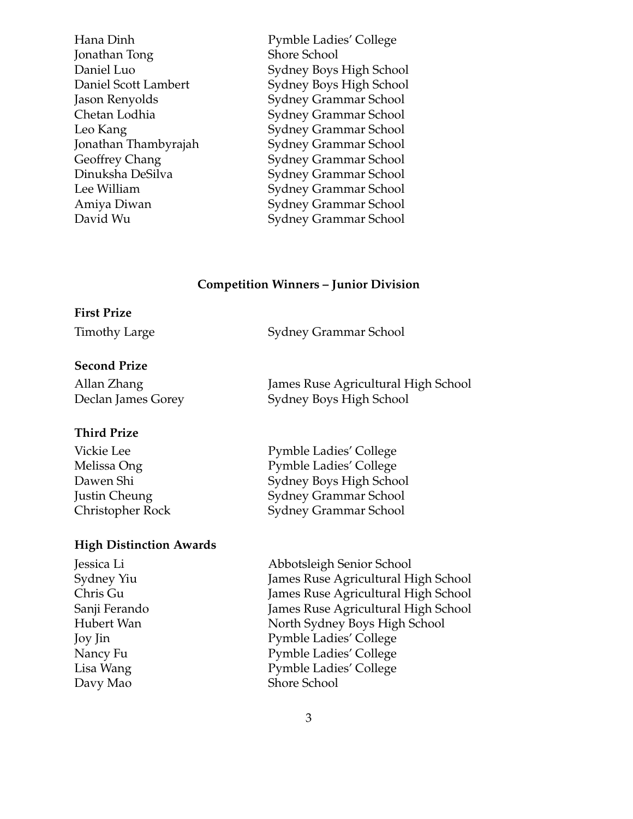Jonathan Tong Shore School

Hana Dinh Pymble Ladies' College Daniel Luo Sydney Boys High School Daniel Scott Lambert Sydney Boys High School Jason Renyolds Sydney Grammar School<br>Chetan Lodhia Sydney Grammar School Sydney Grammar School Leo Kang Sydney Grammar School Jonathan Thambyrajah Sydney Grammar School Geoffrey Chang Sydney Grammar School Dinuksha DeSilva Sydney Grammar School Lee William Sydney Grammar School Amiya Diwan Sydney Grammar School David Wu Sydney Grammar School

#### **Competition Winners – Junior Division**

### **First Prize**

Timothy Large Sydney Grammar School

### **Second Prize**

| Allan Zhang        | James Ruse Agricultural High School |
|--------------------|-------------------------------------|
| Declan James Gorey | Sydney Boys High School             |

# **Third Prize**

| Pymble Ladies' College        |
|-------------------------------|
| <b>Pymble Ladies' College</b> |
| Sydney Boys High School       |
| Sydney Grammar School         |
| Sydney Grammar School         |
|                               |

#### **High Distinction Awards**

Davy Mao Shore School

Jessica Li Abbotsleigh Senior School Sydney Yiu James Ruse Agricultural High School Chris Gu James Ruse Agricultural High School Sanji Ferando James Ruse Agricultural High School Hubert Wan North Sydney Boys High School Joy Jin Pymble Ladies' College Nancy Fu Pymble Ladies' College Lisa Wang Pymble Ladies' College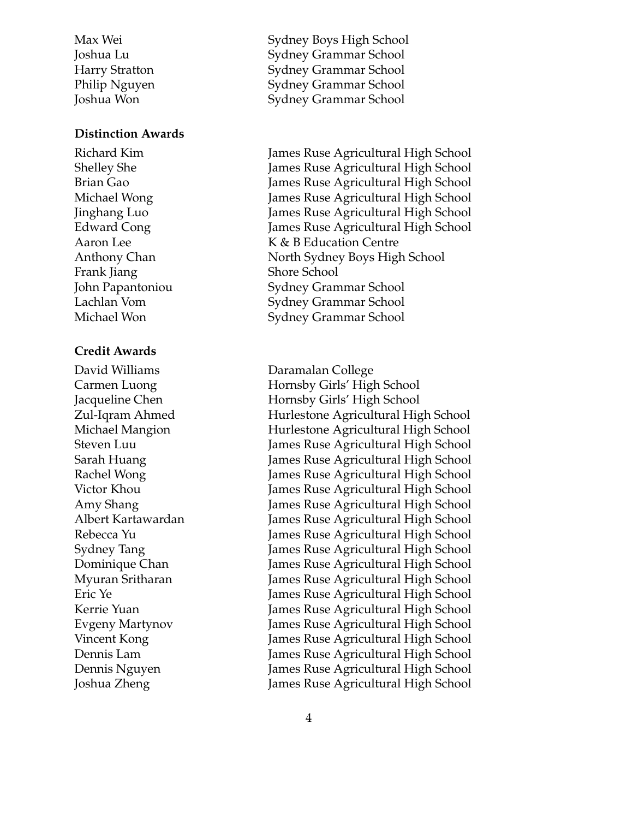#### **Distinction Awards**

Frank Jiang Shore School

#### **Credit Awards**

David Williams Daramalan College

Max Wei Sydney Boys High School Joshua Lu Sydney Grammar School Harry Stratton Sydney Grammar School Philip Nguyen Sydney Grammar School Joshua Won Sydney Grammar School

Richard Kim James Ruse Agricultural High School Shelley She **James Ruse Agricultural High School** Brian Gao James Ruse Agricultural High School Michael Wong James Ruse Agricultural High School Jinghang Luo James Ruse Agricultural High School Edward Cong James Ruse Agricultural High School Aaron Lee K & B Education Centre Anthony Chan North Sydney Boys High School John Papantoniou Sydney Grammar School Lachlan Vom Sydney Grammar School Michael Won Sydney Grammar School

Carmen Luong **Hornsby Girls'** High School Jacqueline Chen Hornsby Girls' High School Zul-Iqram Ahmed Hurlestone Agricultural High School Michael Mangion Hurlestone Agricultural High School Steven Luu James Ruse Agricultural High School Sarah Huang James Ruse Agricultural High School Rachel Wong **Imes Ruse Agricultural High School** Victor Khou James Ruse Agricultural High School Amy Shang The State State State Agricultural High School Albert Kartawardan James Ruse Agricultural High School Rebecca Yu James Ruse Agricultural High School Sydney Tang James Ruse Agricultural High School Dominique Chan James Ruse Agricultural High School Myuran Sritharan James Ruse Agricultural High School Eric Ye James Ruse Agricultural High School Kerrie Yuan James Ruse Agricultural High School Evgeny Martynov James Ruse Agricultural High School Vincent Kong James Ruse Agricultural High School Dennis Lam James Ruse Agricultural High School Dennis Nguyen James Ruse Agricultural High School Joshua Zheng James Ruse Agricultural High School